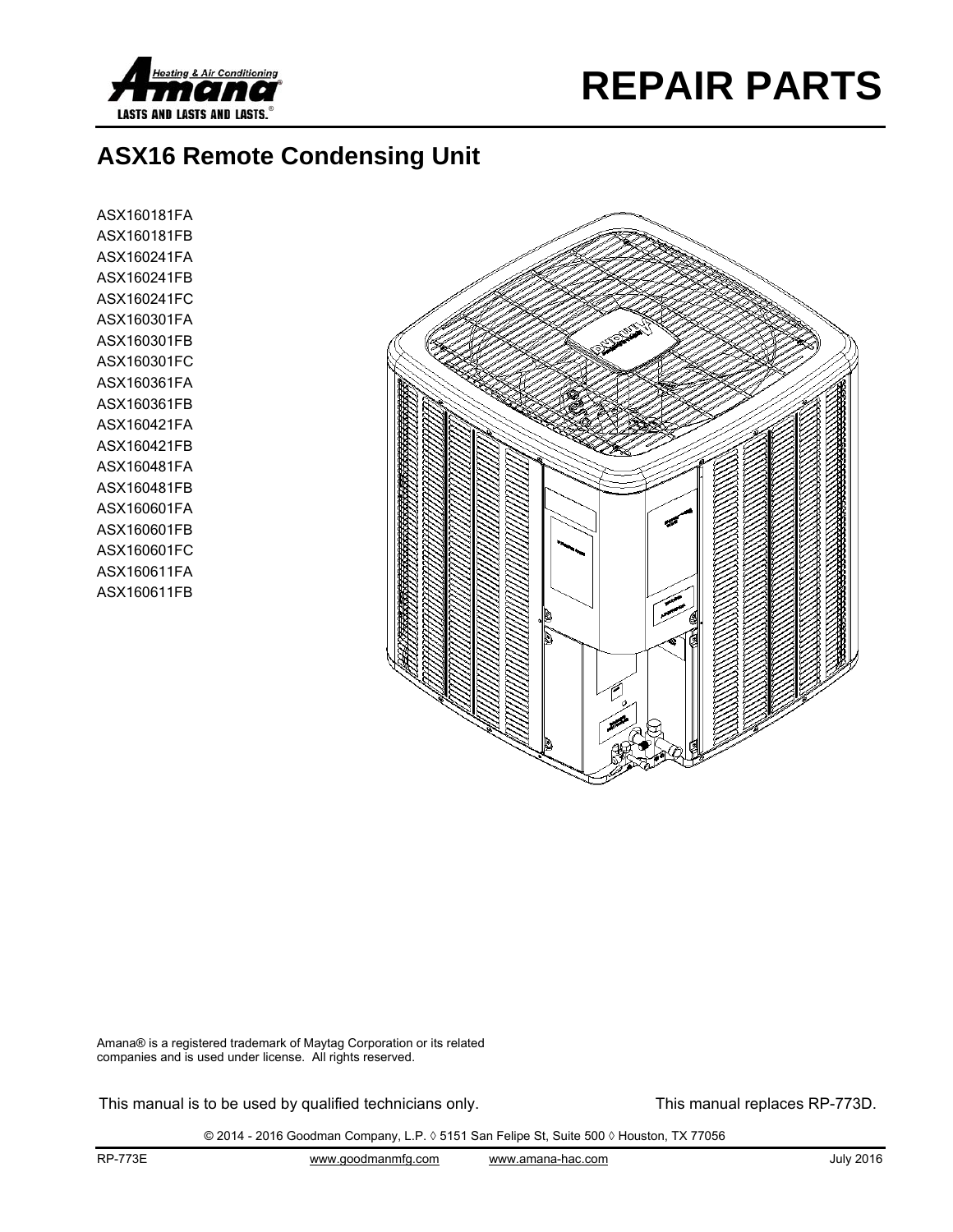



## **ASX16 Remote Condensing Unit**

ASX160181FA ASX160181FB ASX160241FA ASX160241FB ASX160241FC ASX160301FA ASX160301FB ASX160301FC ASX160361FA ASX160361FB ASX160421FA ASX160421FB ASX160481FA ASX160481FB ASX160601FA ASX160601FB ASX160601FC ASX160611FA ASX160611FB



Amana® is a registered trademark of Maytag Corporation or its related companies and is used under license. All rights reserved.

This manual is to be used by qualified technicians only. This manual replaces RP-773D.

© 2014 - 2016 Goodman Company, L.P. ◊ 5151 San Felipe St, Suite 500 ◊ Houston, TX 77056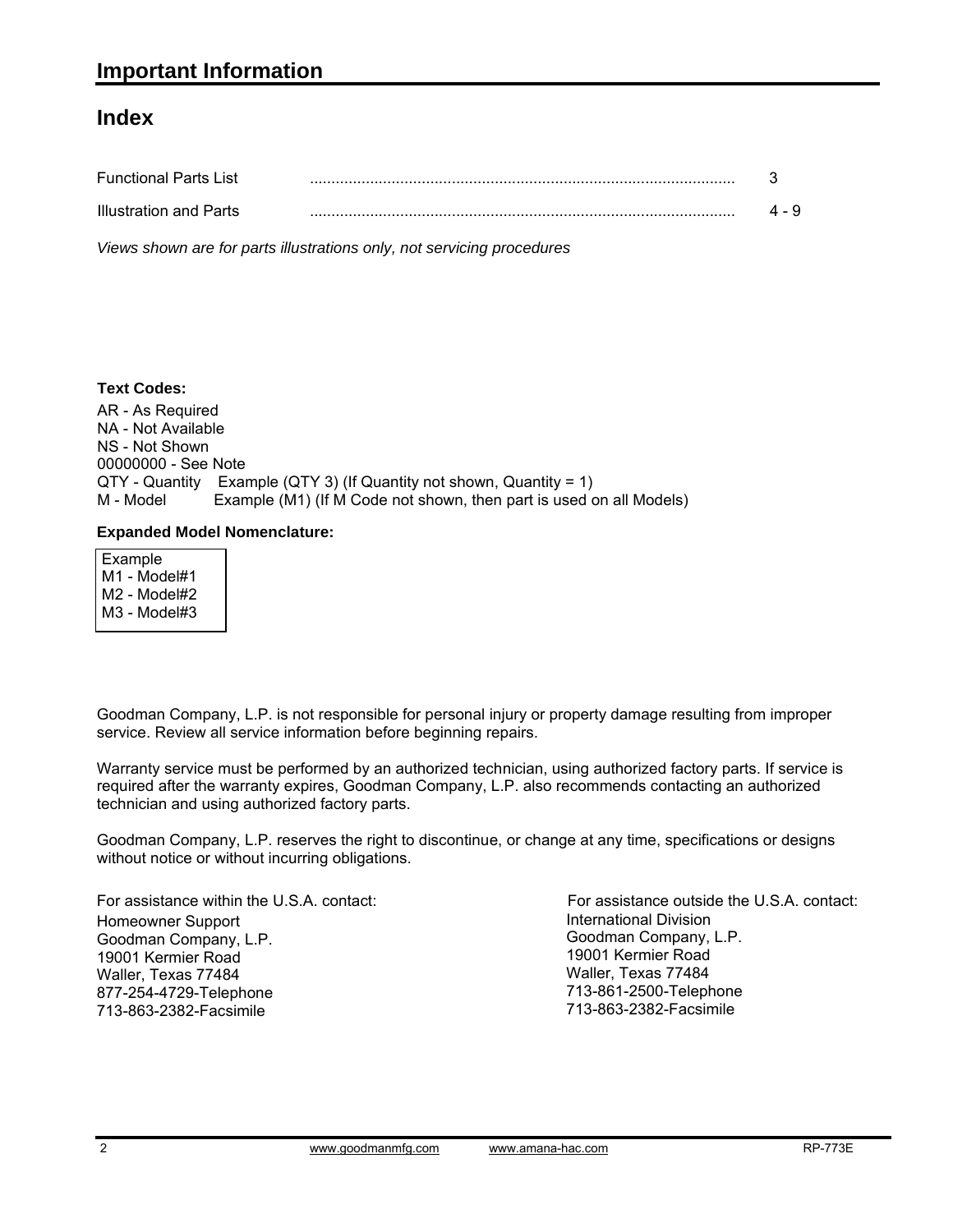#### **Index**

| <b>Functional Parts List</b> |       |
|------------------------------|-------|
| Illustration and Parts       | 4 - 9 |

*Views shown are for parts illustrations only, not servicing procedures*

#### **Text Codes:**

AR - As Required NA - Not Available NS - Not Shown 00000000 - See Note QTY - Quantity Example (QTY 3) (If Quantity not shown, Quantity = 1) M - Model Example (M1) (If M Code not shown, then part is used on all Models)

#### **Expanded Model Nomenclature:**

 Example M1 - Model#1 M2 - Model#2 M3 - Model#3

Goodman Company, L.P. is not responsible for personal injury or property damage resulting from improper service. Review all service information before beginning repairs.

Warranty service must be performed by an authorized technician, using authorized factory parts. If service is required after the warranty expires, Goodman Company, L.P. also recommends contacting an authorized technician and using authorized factory parts.

Goodman Company, L.P. reserves the right to discontinue, or change at any time, specifications or designs without notice or without incurring obligations.

For assistance within the U.S.A. contact: Homeowner Support Goodman Company, L.P. 19001 Kermier Road Waller, Texas 77484 877-254-4729-Telephone 713-863-2382-Facsimile

International Division Goodman Company, L.P. 19001 Kermier Road Waller, Texas 77484 713-861-2500-Telephone 713-863-2382-Facsimile For assistance outside the U.S.A. contact: International Division<br>Goodman Company,<br>19001 Kermier Road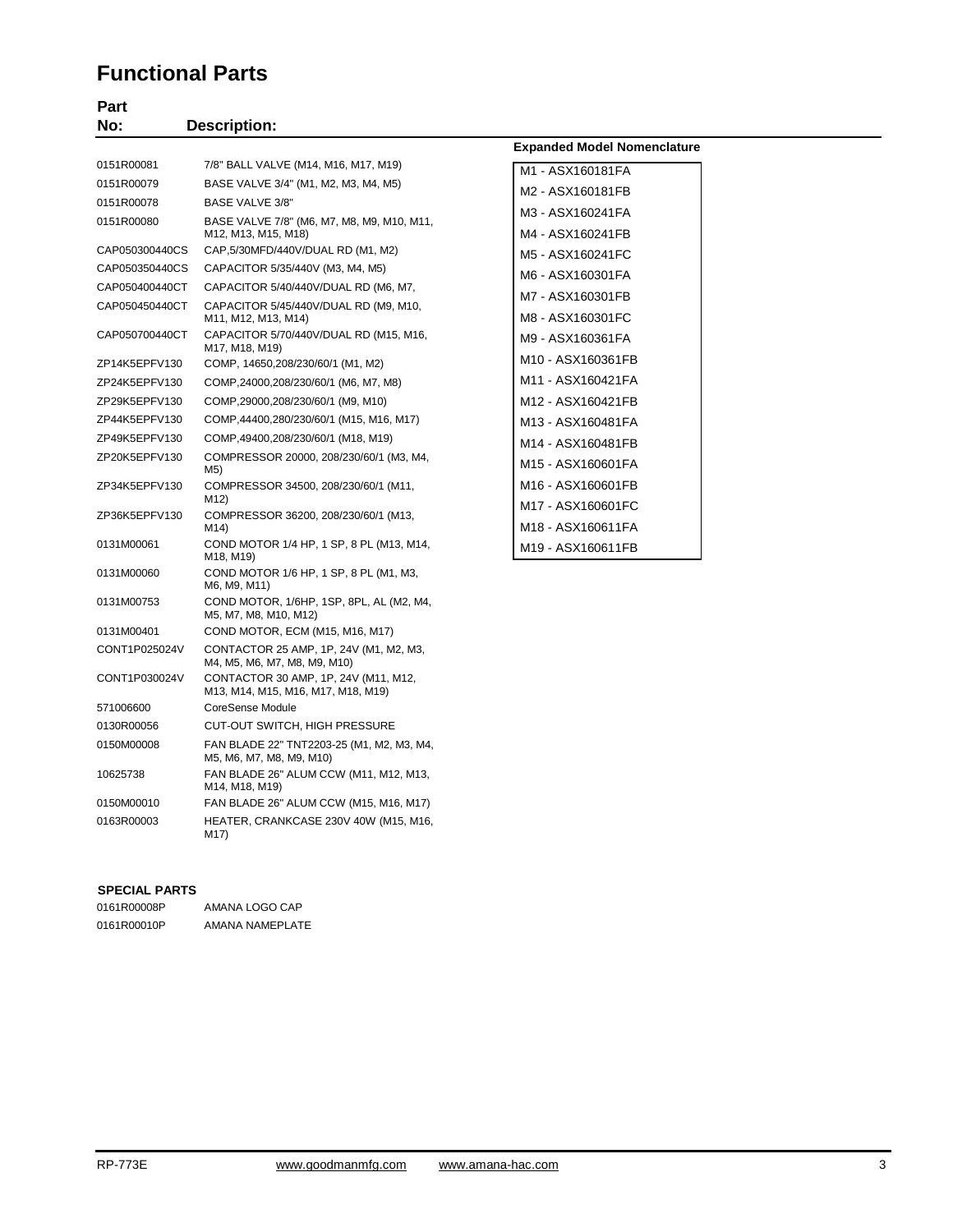#### **Functional Parts**

| Part           |                                                                   |                                            |
|----------------|-------------------------------------------------------------------|--------------------------------------------|
| No:            | <b>Description:</b>                                               |                                            |
|                |                                                                   | <b>Expanded Model Nomenclature</b>         |
| 0151R00081     | 7/8" BALL VALVE (M14, M16, M17, M19)                              | M1 - ASX160181FA                           |
| 0151R00079     | BASE VALVE 3/4" (M1, M2, M3, M4, M5)                              | M2 - ASX160181FB                           |
| 0151R00078     | <b>BASE VALVE 3/8"</b>                                            | M3 - ASX160241FA                           |
| 0151R00080     | BASE VALVE 7/8" (M6, M7, M8, M9, M10, M11,<br>M12, M13, M15, M18) | M4 - ASX160241FB                           |
| CAP050300440CS | CAP, 5/30MFD/440V/DUAL RD (M1, M2)                                | M5 - ASX160241FC                           |
| CAP050350440CS | CAPACITOR 5/35/440V (M3, M4, M5)                                  | M6 - ASX160301FA                           |
| CAP050400440CT | CAPACITOR 5/40/440V/DUAL RD (M6, M7,                              | M7 - ASX160301FB                           |
| CAP050450440CT | CAPACITOR 5/45/440V/DUAL RD (M9, M10,<br>M11, M12, M13, M14)      | M8 - ASX160301FC                           |
| CAP050700440CT | CAPACITOR 5/70/440V/DUAL RD (M15, M16,<br>M17, M18, M19)          | M9 - ASX160361FA                           |
| ZP14K5EPFV130  | COMP, 14650,208/230/60/1 (M1, M2)                                 | M10 - ASX160361FB                          |
| ZP24K5EPFV130  | COMP, 24000, 208/230/60/1 (M6, M7, M8)                            | M11 - ASX160421FA                          |
| ZP29K5EPFV130  | COMP,29000,208/230/60/1 (M9, M10)                                 | M12 - ASX160421FB                          |
| ZP44K5EPFV130  | COMP, 44400, 280/230/60/1 (M15, M16, M17)                         | M13 - ASX160481FA                          |
| ZP49K5EPFV130  | COMP, 49400, 208/230/60/1 (M18, M19)                              | M14 - ASX160481FB                          |
| ZP20K5EPFV130  | COMPRESSOR 20000, 208/230/60/1 (M3, M4,<br>M5)                    | M15 - ASX160601FA                          |
| ZP34K5EPFV130  | COMPRESSOR 34500, 208/230/60/1 (M11,<br>M12)                      | M <sub>16</sub> - ASX <sub>160601FB</sub>  |
| ZP36K5EPFV130  | COMPRESSOR 36200, 208/230/60/1 (M13,                              | M <sub>17</sub> - ASX <sub>160601FC</sub>  |
|                | M14)                                                              | M <sub>18</sub> - ASX <sub>160611</sub> FA |
| 0131M00061     | COND MOTOR 1/4 HP, 1 SP, 8 PL (M13, M14,<br>M18, M19)             | M19 - ASX160611FB                          |
| 0131M00060     | COND MOTOR 1/6 HP, 1 SP, 8 PL (M1, M3,<br>M6, M9, M11)            |                                            |
| 0131M00753     | COND MOTOR, 1/6HP, 1SP, 8PL, AL (M2, M4,<br>M5, M7, M8, M10, M12) |                                            |
| 0131M00401     | COND MOTOR, ECM (M15, M16, M17)                                   |                                            |

#### **SPECIAL PARTS**

| 0161R00008P | AMANA LOGO CAP  |
|-------------|-----------------|
| 0161R00010P | AMANA NAMEPLATE |

M17)

571006600 CoreSense Module

CONT1P025024V CONTACTOR 25 AMP, 1P, 24V (M1, M2, M3, M4, M5, M6, M7, M8, M9, M10) CONT1P030024V CONTACTOR 30 AMP, 1P, 24V (M11, M12,

0130R00056 CUT-OUT SWITCH, HIGH PRESSURE 0150M00008 FAN BLADE 22" TNT2203-25 (M1, M2, M3, M4, M5, M6, M7, M8, M9, M10) 10625738 FAN BLADE 26" ALUM CCW (M11, M12, M13, M14, M18, M19) 0150M00010 FAN BLADE 26" ALUM CCW (M15, M16, M17) 0163R00003 HEATER, CRANKCASE 230V 40W (M15, M16,

M13, M14, M15, M16, M17, M18, M19)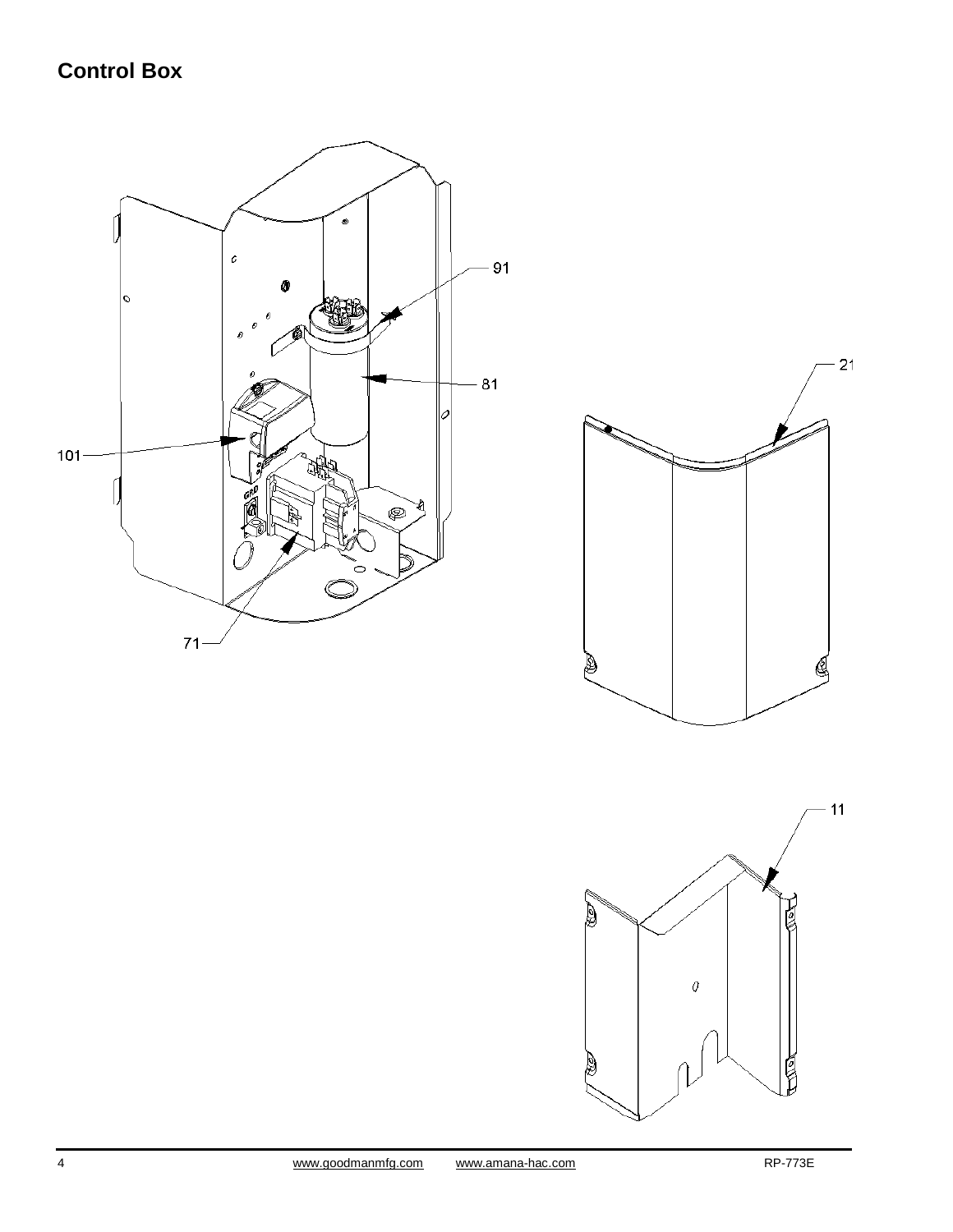## **Control Box**



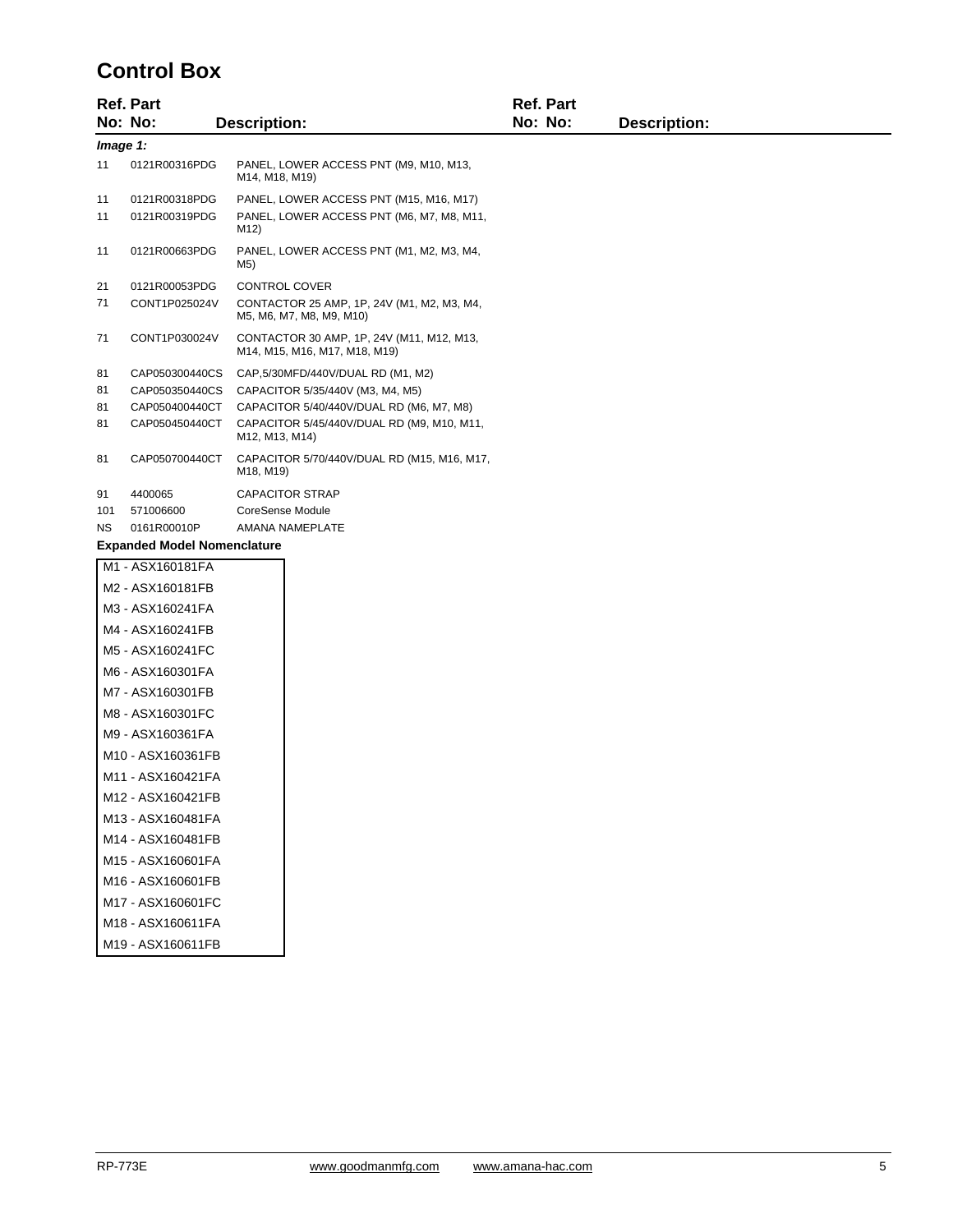### **Control Box**

|           | <b>Ref. Part</b>                   |                                                                            | <b>Ref. Part</b> |                     |  |  |
|-----------|------------------------------------|----------------------------------------------------------------------------|------------------|---------------------|--|--|
|           | No: No:                            | <b>Description:</b>                                                        | No: No:          | <b>Description:</b> |  |  |
|           | Image 1:                           |                                                                            |                  |                     |  |  |
| 11        | 0121R00316PDG                      | PANEL, LOWER ACCESS PNT (M9, M10, M13,<br>M14, M18, M19)                   |                  |                     |  |  |
| 11        | 0121R00318PDG                      | PANEL, LOWER ACCESS PNT (M15, M16, M17)                                    |                  |                     |  |  |
| 11        | 0121R00319PDG                      | PANEL, LOWER ACCESS PNT (M6, M7, M8, M11,<br>M12)                          |                  |                     |  |  |
| 11        | 0121R00663PDG                      | PANEL, LOWER ACCESS PNT (M1, M2, M3, M4,<br>M5)                            |                  |                     |  |  |
| 21        | 0121R00053PDG                      | <b>CONTROL COVER</b>                                                       |                  |                     |  |  |
| 71        | CONT1P025024V                      | CONTACTOR 25 AMP, 1P, 24V (M1, M2, M3, M4,<br>M5, M6, M7, M8, M9, M10)     |                  |                     |  |  |
| 71        | CONT1P030024V                      | CONTACTOR 30 AMP, 1P, 24V (M11, M12, M13,<br>M14, M15, M16, M17, M18, M19) |                  |                     |  |  |
| 81        | CAP050300440CS                     | CAP,5/30MFD/440V/DUAL RD (M1, M2)                                          |                  |                     |  |  |
| 81        | CAP050350440CS                     | CAPACITOR 5/35/440V (M3, M4, M5)                                           |                  |                     |  |  |
| 81        | CAP050400440CT                     | CAPACITOR 5/40/440V/DUAL RD (M6, M7, M8)                                   |                  |                     |  |  |
| 81        | CAP050450440CT                     | CAPACITOR 5/45/440V/DUAL RD (M9, M10, M11,<br>M12, M13, M14)               |                  |                     |  |  |
| 81        | CAP050700440CT                     | CAPACITOR 5/70/440V/DUAL RD (M15, M16, M17,<br>M18, M19)                   |                  |                     |  |  |
| 91        | 4400065                            | <b>CAPACITOR STRAP</b>                                                     |                  |                     |  |  |
| 101       | 571006600                          | <b>CoreSense Module</b>                                                    |                  |                     |  |  |
| <b>NS</b> | 0161R00010P                        | AMANA NAMEPLATE                                                            |                  |                     |  |  |
|           | <b>Expanded Model Nomenclature</b> |                                                                            |                  |                     |  |  |
|           | M1 - ASX160181FA                   |                                                                            |                  |                     |  |  |
|           | M2 - ASX160181FB                   |                                                                            |                  |                     |  |  |
|           | M3 - ASX160241FA                   |                                                                            |                  |                     |  |  |
|           | M4 - ASX160241FB                   |                                                                            |                  |                     |  |  |
|           | M5 - ASX160241FC                   |                                                                            |                  |                     |  |  |
|           | M6 - ASX160301FA                   |                                                                            |                  |                     |  |  |
|           | M7 - ASX160301FB                   |                                                                            |                  |                     |  |  |
|           | M8 - ASX160301FC                   |                                                                            |                  |                     |  |  |
|           | M9 - ASX160361FA                   |                                                                            |                  |                     |  |  |

M10 - ASX160361FB M11 - ASX160421FA M12 - ASX160421FB M13 - ASX160481FA M14 - ASX160481FB M15 - ASX160601FA M16 - ASX160601FB M17 - ASX160601FC M18 - ASX160611FA M19 - ASX160611FB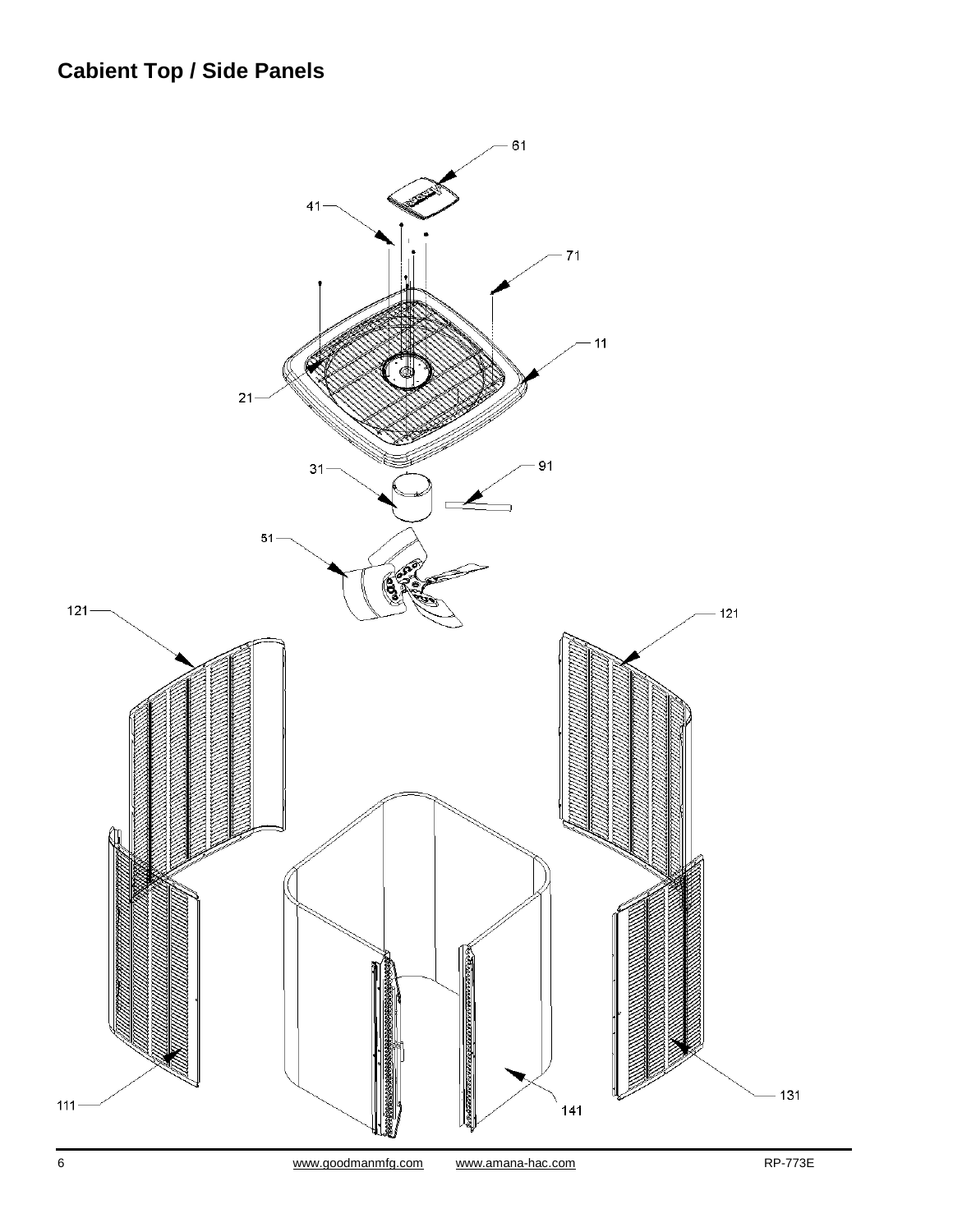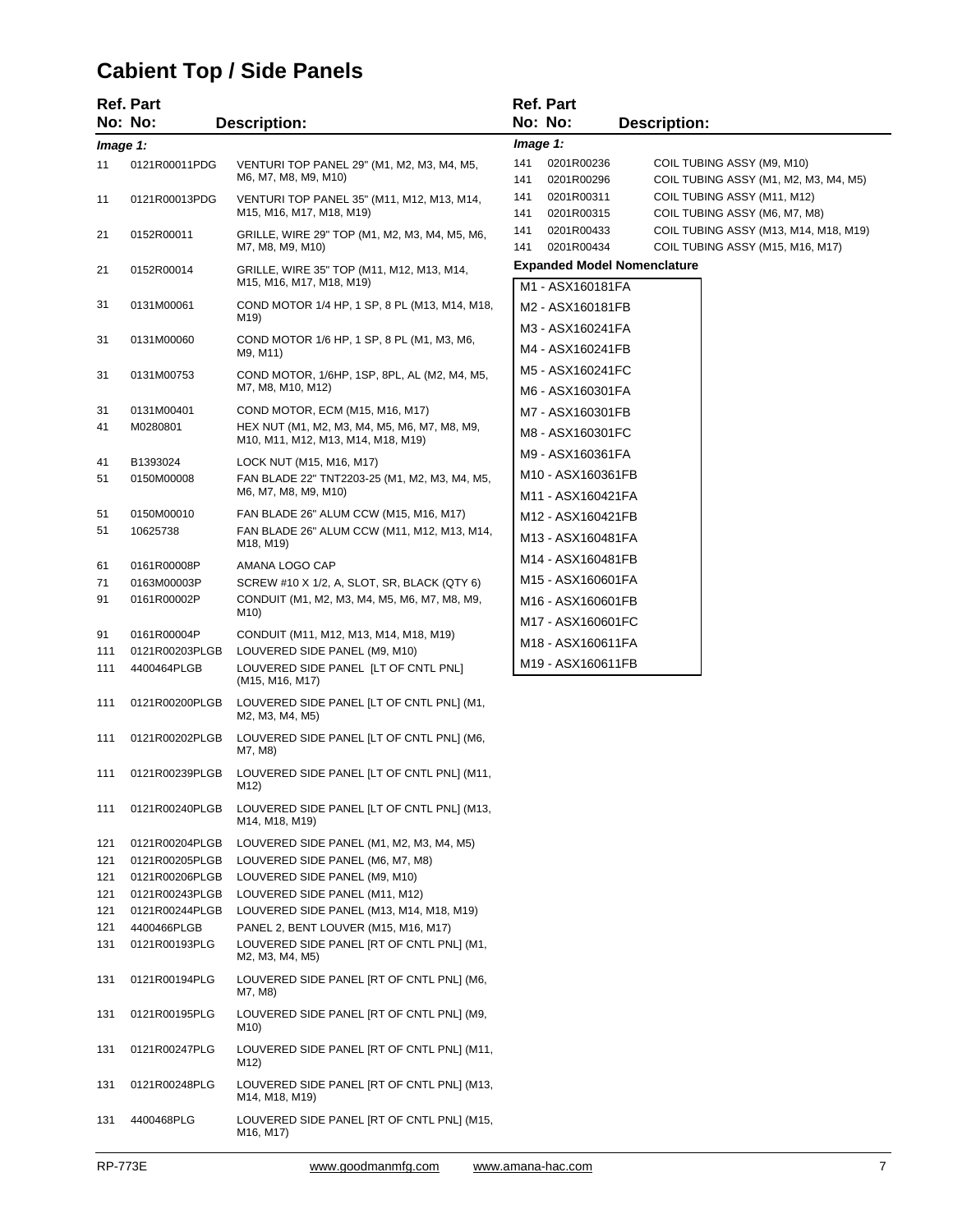# **Cabient Top / Side Panels**

|            | <b>Ref. Part</b>                 |                                                                                             |            | <b>Ref. Part</b>                          |                                                                           |
|------------|----------------------------------|---------------------------------------------------------------------------------------------|------------|-------------------------------------------|---------------------------------------------------------------------------|
|            | No: No:                          | <b>Description:</b>                                                                         |            | No: No:                                   | <b>Description:</b>                                                       |
| Image 1:   |                                  |                                                                                             | Image 1:   |                                           |                                                                           |
| 11         | 0121R00011PDG                    | VENTURI TOP PANEL 29" (M1, M2, M3, M4, M5,<br>M6, M7, M8, M9, M10)                          | 141<br>141 | 0201R00236<br>0201R00296                  | COIL TUBING ASSY (M9, M10)<br>COIL TUBING ASSY (M1, M2, M3, M4, M5)       |
| 11         | 0121R00013PDG                    | VENTURI TOP PANEL 35" (M11, M12, M13, M14,<br>M15, M16, M17, M18, M19)                      | 141<br>141 | 0201R00311<br>0201R00315                  | COIL TUBING ASSY (M11, M12)<br>COIL TUBING ASSY (M6, M7, M8)              |
| 21         | 0152R00011                       | GRILLE, WIRE 29" TOP (M1, M2, M3, M4, M5, M6,<br>M7, M8, M9, M10)                           | 141<br>141 | 0201R00433<br>0201R00434                  | COIL TUBING ASSY (M13, M14, M18, M19)<br>COIL TUBING ASSY (M15, M16, M17) |
| 21         | 0152R00014                       | GRILLE, WIRE 35" TOP (M11, M12, M13, M14,<br>M15, M16, M17, M18, M19)                       |            | M1 - ASX160181FA                          | <b>Expanded Model Nomenclature</b>                                        |
| 31         | 0131M00061                       | COND MOTOR 1/4 HP, 1 SP, 8 PL (M13, M14, M18,<br>M19)                                       |            | M2 - ASX160181FB                          |                                                                           |
| 31         | 0131M00060                       | COND MOTOR 1/6 HP, 1 SP, 8 PL (M1, M3, M6,<br>M9, M11)                                      |            | M3 - ASX160241FA<br>M4 - ASX160241FB      |                                                                           |
| 31         | 0131M00753                       | COND MOTOR, 1/6HP, 1SP, 8PL, AL (M2, M4, M5,<br>M7, M8, M10, M12)                           |            | M5 - ASX160241FC<br>M6 - ASX160301FA      |                                                                           |
| 31         | 0131M00401                       | COND MOTOR, ECM (M15, M16, M17)                                                             |            | M7 - ASX160301FB                          |                                                                           |
| 41         | M0280801                         | HEX NUT (M1, M2, M3, M4, M5, M6, M7, M8, M9,<br>M10, M11, M12, M13, M14, M18, M19)          |            | M8 - ASX160301FC                          |                                                                           |
| 41         | B1393024                         | LOCK NUT (M15, M16, M17)                                                                    |            | M9 - ASX160361FA                          |                                                                           |
| 51         | 0150M00008                       | FAN BLADE 22" TNT2203-25 (M1, M2, M3, M4, M5,                                               |            | M10 - ASX160361FB                         |                                                                           |
|            |                                  | M6, M7, M8, M9, M10)                                                                        |            | M11 - ASX160421FA                         |                                                                           |
| 51         | 0150M00010                       | FAN BLADE 26" ALUM CCW (M15, M16, M17)                                                      |            | M <sub>12</sub> - ASX <sub>160421FB</sub> |                                                                           |
| 51         | 10625738                         | FAN BLADE 26" ALUM CCW (M11, M12, M13, M14,                                                 |            | M13 - ASX160481FA                         |                                                                           |
|            |                                  | M18, M19)                                                                                   |            | M14 - ASX160481FB                         |                                                                           |
| 61         | 0161R00008P                      | AMANA LOGO CAP                                                                              |            | M15 - ASX160601FA                         |                                                                           |
| 71<br>91   | 0163M00003P<br>0161R00002P       | SCREW #10 X 1/2, A, SLOT, SR, BLACK (QTY 6)<br>CONDUIT (M1, M2, M3, M4, M5, M6, M7, M8, M9, |            |                                           |                                                                           |
|            |                                  | M10)                                                                                        |            | M <sub>16</sub> - ASX <sub>160601FB</sub> |                                                                           |
| 91         | 0161R00004P                      | CONDUIT (M11, M12, M13, M14, M18, M19)                                                      |            | M17 - ASX160601FC                         |                                                                           |
| 111        | 0121R00203PLGB                   | LOUVERED SIDE PANEL (M9, M10)                                                               |            | M18 - ASX160611FA                         |                                                                           |
| 111        | 4400464PLGB                      | LOUVERED SIDE PANEL [LT OF CNTL PNL]<br>(M15, M16, M17)                                     |            | M19 - ASX160611FB                         |                                                                           |
| 111        | 0121R00200PLGB                   | LOUVERED SIDE PANEL [LT OF CNTL PNL] (M1,<br>M2, M3, M4, M5)                                |            |                                           |                                                                           |
| 111        | 0121R00202PLGB                   | LOUVERED SIDE PANEL [LT OF CNTL PNL] (M6,<br>M7, M8)                                        |            |                                           |                                                                           |
| 111        | 0121R00239PLGB                   | LOUVERED SIDE PANEL [LT OF CNTL PNL] (M11,<br>M12)                                          |            |                                           |                                                                           |
| 111        | 0121R00240PLGB                   | LOUVERED SIDE PANEL [LT OF CNTL PNL] (M13,<br>M14, M18, M19)                                |            |                                           |                                                                           |
| 121        | 0121R00204PLGB                   | LOUVERED SIDE PANEL (M1, M2, M3, M4, M5)                                                    |            |                                           |                                                                           |
| 121        | 0121R00205PLGB                   | LOUVERED SIDE PANEL (M6, M7, M8)                                                            |            |                                           |                                                                           |
| 121        | 0121R00206PLGB                   | LOUVERED SIDE PANEL (M9, M10)                                                               |            |                                           |                                                                           |
| 121<br>121 | 0121R00243PLGB<br>0121R00244PLGB | LOUVERED SIDE PANEL (M11, M12)<br>LOUVERED SIDE PANEL (M13, M14, M18, M19)                  |            |                                           |                                                                           |
| 121        | 4400466PLGB                      | PANEL 2, BENT LOUVER (M15, M16, M17)                                                        |            |                                           |                                                                           |
| 131        | 0121R00193PLG                    | LOUVERED SIDE PANEL [RT OF CNTL PNL] (M1,<br>M2, M3, M4, M5)                                |            |                                           |                                                                           |
| 131        | 0121R00194PLG                    | LOUVERED SIDE PANEL [RT OF CNTL PNL] (M6,<br>M7, M8)                                        |            |                                           |                                                                           |
| 131        | 0121R00195PLG                    | LOUVERED SIDE PANEL [RT OF CNTL PNL] (M9,<br>M10)                                           |            |                                           |                                                                           |
| 131        | 0121R00247PLG                    | LOUVERED SIDE PANEL [RT OF CNTL PNL] (M11,<br>M12)                                          |            |                                           |                                                                           |
| 131        | 0121R00248PLG                    | LOUVERED SIDE PANEL [RT OF CNTL PNL] (M13,<br>M14, M18, M19)                                |            |                                           |                                                                           |
| 131        | 4400468PLG                       | LOUVERED SIDE PANEL [RT OF CNTL PNL] (M15,<br>M16, M17)                                     |            |                                           |                                                                           |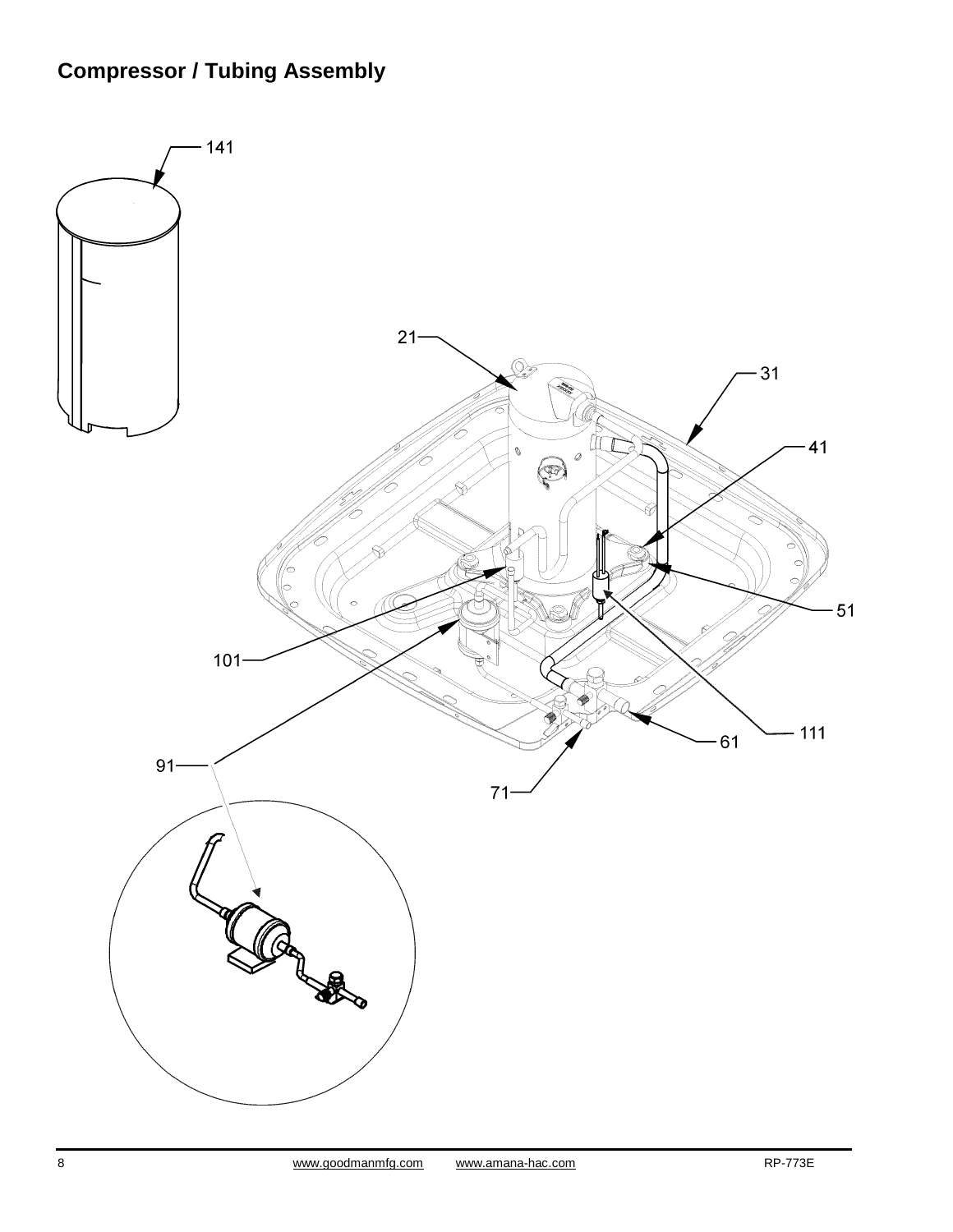# **Compressor / Tubing Assembly**